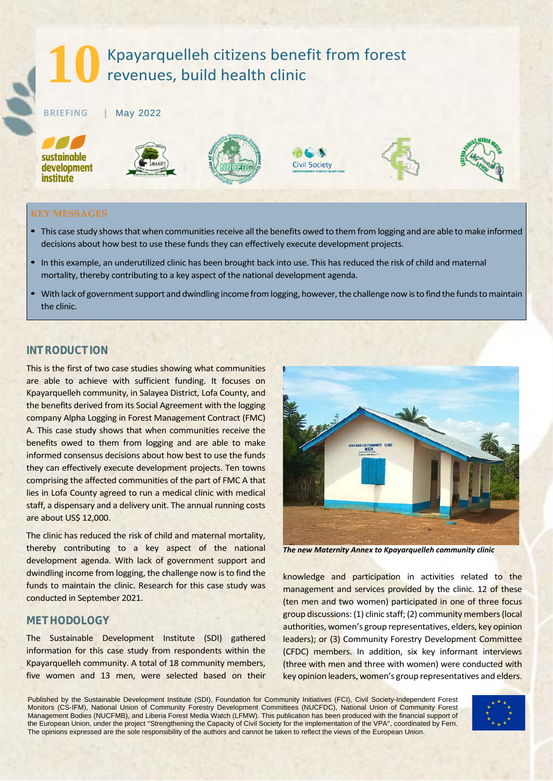# **10** Kpayarquelleh citizens benefit from forest revenues, build health clinic

**BRIEFING |** May 2022

sustainable development institute











## **KEY MESSAGES**

- This case study shows that when communities receive all the benefits owed to them from logging and are able to make informed decisions about how best to use these funds they can effectively execute development projects.
- In this example, an underutilized clinic has been brought back into use. This has reduced the risk of child and maternal mortality, thereby contributing to a key aspect of the national development agenda.
- With lack of government support and dwindling income from logging, however, the challenge now is to find the funds to maintain the clinic.

# *INTRODUCTION*

This is the first of two case studies showing what communities are able to achieve with sufficient funding. It focuses on Kpayarquelleh community, in Salayea District, Lofa County, and the benefits derived from its Social Agreement with the logging company Alpha Logging in Forest Management Contract (FMC) A. This case study shows that when communities receive the benefits owed to them from logging and are able to make informed consensus decisions about how best to use the funds they can effectively execute development projects. Ten towns comprising the affected communities of the part of FMC A that lies in Lofa County agreed to run a medical clinic with medical staff, a dispensary and a delivery unit. The annual running costs are about US\$ 12,000.

The clinic has reduced the risk of child and maternal mortality, thereby contributing to a key aspect of the national development agenda. With lack of government support and dwindling income from logging, the challenge now is to find the funds to maintain the clinic. Research for this case study was conducted in September 2021.

# *METHODOLOGY*

The Sustainable Development Institute (SDI) gathered information for this case study from respondents within the Kpayarquelleh community. A total of 18 community members, five women and 13 men, were selected based on their



*The new Maternity Annex to Kpayarquelleh community clinic*

knowledge and participation in activities related to the management and services provided by the clinic. 12 of these (ten men and two women) participated in one of three focus group discussions: (1) clinic staff; (2) community members (local authorities, women's group representatives, elders, key opinion leaders); or (3) Community Forestry Development Committee (CFDC) members. In addition, six key informant interviews (three with men and three with women) were conducted with key opinion leaders, women's group representatives and elders.

Published by the Sustainable Development Institute (SDI), Foundation for Community Initiatives (FCI), Civil Society-Independent Forest Monitors (CS-IFM), National Union of Community Forestry Development Committees (NUCFDC), National Union of Community Forest Management Bodies (NUCFMB), and Liberia Forest Media Watch (LFMW). This publication has been produced with the financial support of the European Union, under the project "Strengthening the Capacity of Civil Society for the implementation of the VPA", coordinated by Fern. The opinions expressed are the sole responsibility of the authors and cannot be taken to reflect the views of the European Union.

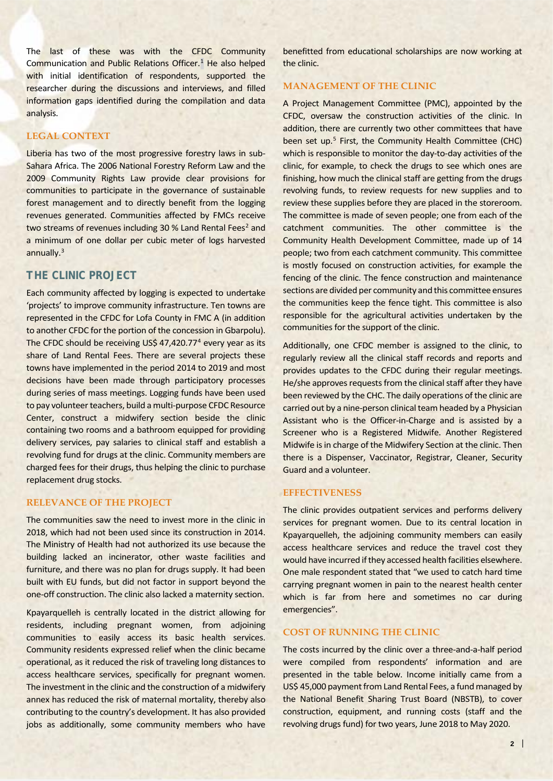The last of these was with the CFDC Community Communication and Public Relations Officer.<sup>[1](#page-3-0)</sup> He also helped with initial identification of respondents, supported the researcher during the discussions and interviews, and filled information gaps identified during the compilation and data analysis.

#### **LEGAL CONTEXT**

Liberia has two of the most progressive forestry laws in sub-Sahara Africa. The 2006 National Forestry Reform Law and the 2009 Community Rights Law provide clear provisions for communities to participate in the governance of sustainable forest management and to directly benefit from the logging revenues generated. Communities affected by FMCs receive two streams of revenues including 30 % Land Rental Fees<sup>2</sup> and a minimum of one dollar per cubic meter of logs harvested annually.<sup>[3](#page-3-2)</sup>

# *THE CLINIC PROJECT*

Each community affected by logging is expected to undertake 'projects' to improve community infrastructure. Ten towns are represented in the CFDC for Lofa County in FMC A (in addition to another CFDC for the portion of the concession in Gbarpolu). The CFDC should be receiving US\$ [4](#page-3-3)7,420.77<sup>4</sup> every year as its share of Land Rental Fees. There are several projects these towns have implemented in the period 2014 to 2019 and most decisions have been made through participatory processes during series of mass meetings. Logging funds have been used to pay volunteer teachers, build a multi-purpose CFDC Resource Center, construct a midwifery section beside the clinic containing two rooms and a bathroom equipped for providing delivery services, pay salaries to clinical staff and establish a revolving fund for drugs at the clinic. Community members are charged fees for their drugs, thus helping the clinic to purchase replacement drug stocks.

#### **RELEVANCE OF THE PROJECT**

The communities saw the need to invest more in the clinic in 2018, which had not been used since its construction in 2014. The Ministry of Health had not authorized its use because the building lacked an incinerator, other waste facilities and furniture, and there was no plan for drugs supply. It had been built with EU funds, but did not factor in support beyond the one-off construction. The clinic also lacked a maternity section.

Kpayarquelleh is centrally located in the district allowing for residents, including pregnant women, from adjoining communities to easily access its basic health services. Community residents expressed relief when the clinic became operational, as it reduced the risk of traveling long distances to access healthcare services, specifically for pregnant women. The investment in the clinic and the construction of a midwifery annex has reduced the risk of maternal mortality, thereby also contributing to the country's development. It has also provided jobs as additionally, some community members who have benefitted from educational scholarships are now working at the clinic.

## **MANAGEMENT OF THE CLINIC**

A Project Management Committee (PMC), appointed by the CFDC, oversaw the construction activities of the clinic. In addition, there are currently two other committees that have been set up.<sup>[5](#page-3-4)</sup> First, the Community Health Committee (CHC) which is responsible to monitor the day-to-day activities of the clinic, for example, to check the drugs to see which ones are finishing, how much the clinical staff are getting from the drugs revolving funds, to review requests for new supplies and to review these supplies before they are placed in the storeroom. The committee is made of seven people; one from each of the catchment communities. The other committee is the Community Health Development Committee, made up of 14 people; two from each catchment community. This committee is mostly focused on construction activities, for example the fencing of the clinic. The fence construction and maintenance sections are divided per community and this committee ensures the communities keep the fence tight. This committee is also responsible for the agricultural activities undertaken by the communities for the support of the clinic.

Additionally, one CFDC member is assigned to the clinic, to regularly review all the clinical staff records and reports and provides updates to the CFDC during their regular meetings. He/she approves requests from the clinical staff after they have been reviewed by the CHC. The daily operations of the clinic are carried out by a nine-person clinical team headed by a Physician Assistant who is the Officer-in-Charge and is assisted by a Screener who is a Registered Midwife. Another Registered Midwife is in charge of the Midwifery Section at the clinic. Then there is a Dispenser, Vaccinator, Registrar, Cleaner, Security Guard and a volunteer.

### **EFFECTIVENESS**

The clinic provides outpatient services and performs delivery services for pregnant women. Due to its central location in Kpayarquelleh, the adjoining community members can easily access healthcare services and reduce the travel cost they would have incurred if they accessed health facilities elsewhere. One male respondent stated that "we used to catch hard time carrying pregnant women in pain to the nearest health center which is far from here and sometimes no car during emergencies".

#### **COST OF RUNNING THE CLINIC**

The costs incurred by the clinic over a three-and-a-half period were compiled from respondents' information and are presented in the table below. Income initially came from a US\$ 45,000 payment from Land Rental Fees, a fund managed by the National Benefit Sharing Trust Board (NBSTB), to cover construction, equipment, and running costs (staff and the revolving drugs fund) for two years, June 2018 to May 2020.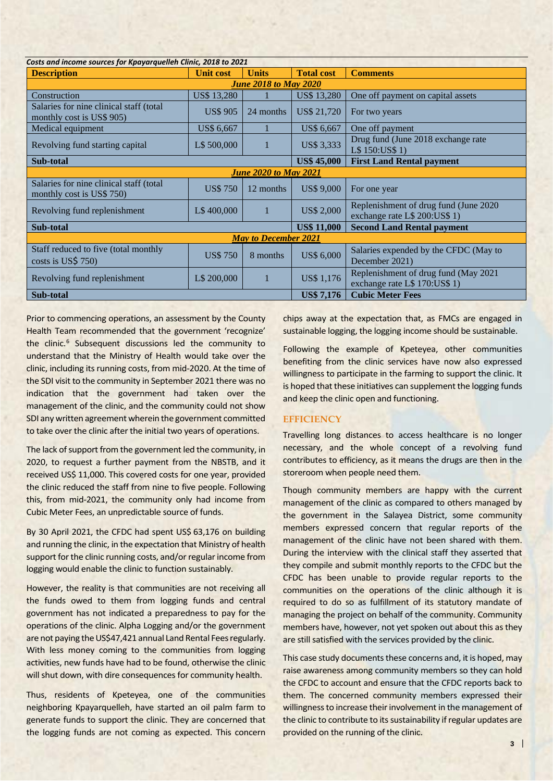| Costs and income sources for Kpayarquelleh Clinic, 2018 to 2021       |                    |              |                    |                                                                         |
|-----------------------------------------------------------------------|--------------------|--------------|--------------------|-------------------------------------------------------------------------|
| <b>Description</b>                                                    | Unit cost          | <b>Units</b> | <b>Total cost</b>  | <b>Comments</b>                                                         |
| <b>June 2018 to May 2020</b>                                          |                    |              |                    |                                                                         |
| Construction                                                          | <b>US\$ 13,280</b> |              | <b>US\$ 13,280</b> | One off payment on capital assets                                       |
| Salaries for nine clinical staff (total)<br>monthly cost is US\$ 905) | <b>US\$ 905</b>    | 24 months    | US\$ 21,720        | For two years                                                           |
| Medical equipment                                                     | US\$ 6,667         |              | <b>US\$ 6,667</b>  | One off payment                                                         |
| Revolving fund starting capital                                       | L\$ 500,000        |              | <b>US\$ 3,333</b>  | Drug fund (June 2018 exchange rate)<br>L\$ 150:US\$ 1)                  |
| Sub-total                                                             |                    |              | <b>US\$ 45,000</b> | <b>First Land Rental payment</b>                                        |
| <b>June 2020 to May 2021</b>                                          |                    |              |                    |                                                                         |
| Salaries for nine clinical staff (total<br>monthly cost is US\$ 750)  | <b>US\$750</b>     | 12 months    | <b>US\$ 9,000</b>  | For one year                                                            |
| Revolving fund replenishment                                          | L\$400,000         |              | <b>US\$ 2,000</b>  | Replenishment of drug fund (June 2020)<br>exchange rate L\$ 200:US\$ 1) |
| Sub-total                                                             |                    |              | <b>US\$ 11,000</b> | <b>Second Land Rental payment</b>                                       |
| <b>May to December 2021</b>                                           |                    |              |                    |                                                                         |
| Staff reduced to five (total monthly<br>costs is US\$ $750$ )         | <b>US\$750</b>     | 8 months     | <b>US\$ 6,000</b>  | Salaries expended by the CFDC (May to<br>December 2021)                 |
| Revolving fund replenishment                                          | L\$ 200,000        |              | <b>US\$1,176</b>   | Replenishment of drug fund (May 2021<br>exchange rate L\$ 170:US\$ 1)   |
| Sub-total                                                             |                    |              | <b>US\$7,176</b>   | <b>Cubic Meter Fees</b>                                                 |

Prior to commencing operations, an assessment by the County Health Team recommended that the government 'recognize' the clinic.<sup>6</sup> Subsequent discussions led the community to understand that the Ministry of Health would take over the clinic, including its running costs, from mid-2020. At the time of the SDI visit to the community in September 2021 there was no indication that the government had taken over the management of the clinic, and the community could not show SDI any written agreement wherein the government committed to take over the clinic after the initial two years of operations.

The lack of support from the government led the community, in 2020, to request a further payment from the NBSTB, and it received US\$ 11,000. This covered costs for one year, provided the clinic reduced the staff from nine to five people. Following this, from mid-2021, the community only had income from Cubic Meter Fees, an unpredictable source of funds.

By 30 April 2021, the CFDC had spent US\$ 63,176 on building and running the clinic, in the expectation that Ministry of health support for the clinic running costs, and/or regular income from logging would enable the clinic to function sustainably.

However, the reality is that communities are not receiving all the funds owed to them from logging funds and central government has not indicated a preparedness to pay for the operations of the clinic. Alpha Logging and/or the government are not paying the US\$47,421 annual Land Rental Fees regularly. With less money coming to the communities from logging activities, new funds have had to be found, otherwise the clinic will shut down, with dire consequences for community health.

Thus, residents of Kpeteyea, one of the communities neighboring Kpayarquelleh, have started an oil palm farm to generate funds to support the clinic. They are concerned that the logging funds are not coming as expected. This concern

chips away at the expectation that, as FMCs are engaged in sustainable logging, the logging income should be sustainable.

Following the example of Kpeteyea, other communities benefiting from the clinic services have now also expressed willingness to participate in the farming to support the clinic. It is hoped that these initiatives can supplement the logging funds and keep the clinic open and functioning.

## **EFFICIENCY**

Travelling long distances to access healthcare is no longer necessary, and the whole concept of a revolving fund contributes to efficiency, as it means the drugs are then in the storeroom when people need them.

Though community members are happy with the current management of the clinic as compared to others managed by the government in the Salayea District, some community members expressed concern that regular reports of the management of the clinic have not been shared with them. During the interview with the clinical staff they asserted that they compile and submit monthly reports to the CFDC but the CFDC has been unable to provide regular reports to the communities on the operations of the clinic although it is required to do so as fulfillment of its statutory mandate of managing the project on behalf of the community. Community members have, however, not yet spoken out about this as they are still satisfied with the services provided by the clinic.

This case study documents these concerns and, it is hoped, may raise awareness among community members so they can hold the CFDC to account and ensure that the CFDC reports back to them. The concerned community members expressed their willingness to increase their involvement in the management of the clinic to contribute to its sustainability if regular updates are provided on the running of the clinic.